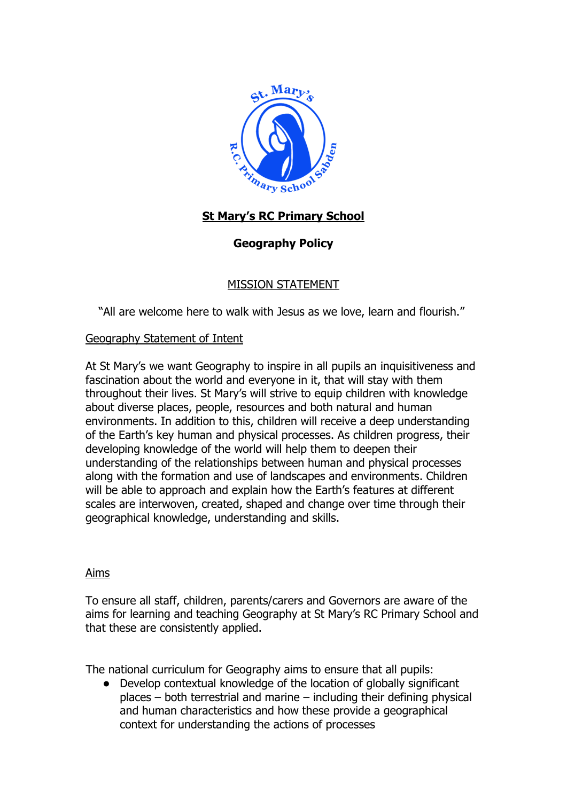

# **St Mary's RC Primary School**

# **Geography Policy**

# MISSION STATEMENT

"All are welcome here to walk with Jesus as we love, learn and flourish."

## Geography Statement of Intent

At St Mary's we want Geography to inspire in all pupils an inquisitiveness and fascination about the world and everyone in it, that will stay with them throughout their lives. St Mary's will strive to equip children with knowledge about diverse places, people, resources and both natural and human environments. In addition to this, children will receive a deep understanding of the Earth's key human and physical processes. As children progress, their developing knowledge of the world will help them to deepen their understanding of the relationships between human and physical processes along with the formation and use of landscapes and environments. Children will be able to approach and explain how the Earth's features at different scales are interwoven, created, shaped and change over time through their geographical knowledge, understanding and skills.

## Aims

To ensure all staff, children, parents/carers and Governors are aware of the aims for learning and teaching Geography at St Mary's RC Primary School and that these are consistently applied.

The national curriculum for Geography aims to ensure that all pupils:

● Develop contextual knowledge of the location of globally significant places – both terrestrial and marine – including their defining physical and human characteristics and how these provide a geographical context for understanding the actions of processes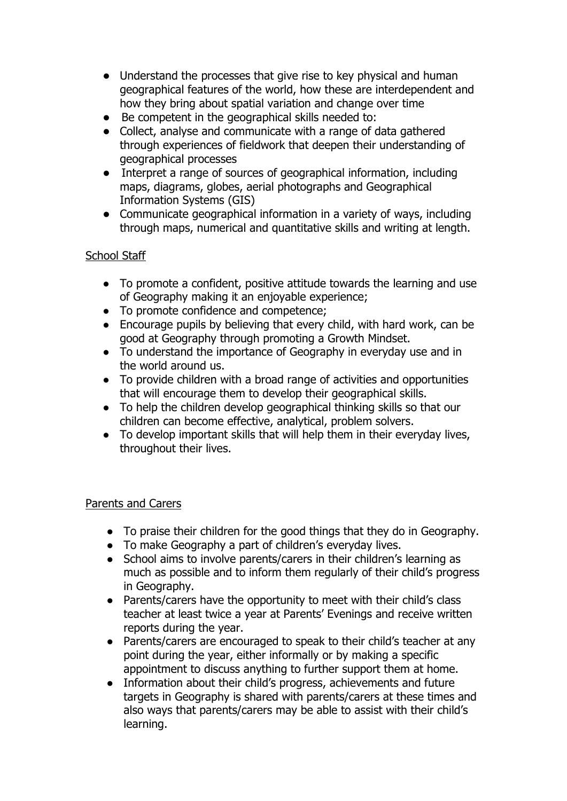- Understand the processes that give rise to key physical and human geographical features of the world, how these are interdependent and how they bring about spatial variation and change over time
- Be competent in the geographical skills needed to:
- Collect, analyse and communicate with a range of data gathered through experiences of fieldwork that deepen their understanding of geographical processes
- Interpret a range of sources of geographical information, including maps, diagrams, globes, aerial photographs and Geographical Information Systems (GIS)
- Communicate geographical information in a variety of ways, including through maps, numerical and quantitative skills and writing at length.

# School Staff

- To promote a confident, positive attitude towards the learning and use of Geography making it an enjoyable experience;
- To promote confidence and competence;
- Encourage pupils by believing that every child, with hard work, can be good at Geography through promoting a Growth Mindset.
- To understand the importance of Geography in everyday use and in the world around us.
- To provide children with a broad range of activities and opportunities that will encourage them to develop their geographical skills.
- To help the children develop geographical thinking skills so that our children can become effective, analytical, problem solvers.
- To develop important skills that will help them in their everyday lives, throughout their lives.

# Parents and Carers

- To praise their children for the good things that they do in Geography.
- To make Geography a part of children's everyday lives.
- School aims to involve parents/carers in their children's learning as much as possible and to inform them regularly of their child's progress in Geography.
- Parents/carers have the opportunity to meet with their child's class teacher at least twice a year at Parents' Evenings and receive written reports during the year.
- Parents/carers are encouraged to speak to their child's teacher at any point during the year, either informally or by making a specific appointment to discuss anything to further support them at home.
- Information about their child's progress, achievements and future targets in Geography is shared with parents/carers at these times and also ways that parents/carers may be able to assist with their child's learning.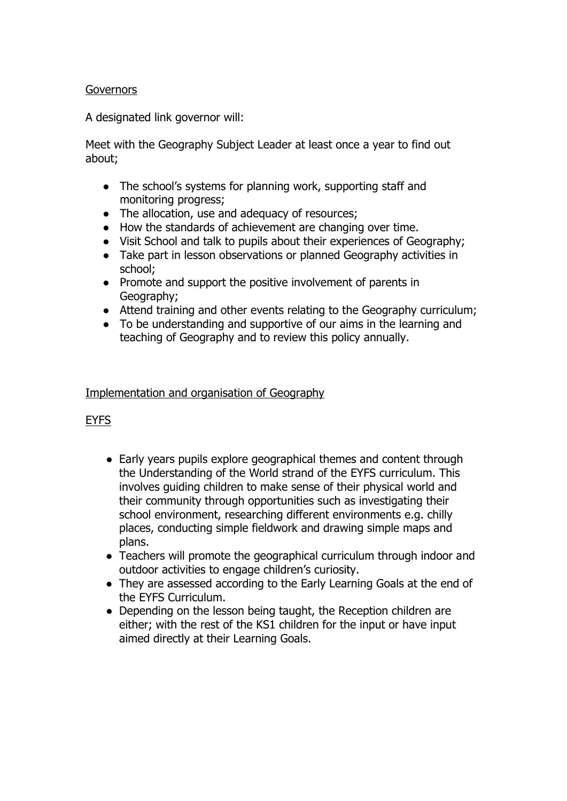#### **Governors**

A designated link governor will:

Meet with the Geography Subject Leader at least once a year to find out about;

- The school's systems for planning work, supporting staff and monitoring progress;
- The allocation, use and adequacy of resources;
- How the standards of achievement are changing over time.
- Visit School and talk to pupils about their experiences of Geography;
- Take part in lesson observations or planned Geography activities in school;
- Promote and support the positive involvement of parents in Geography;
- Attend training and other events relating to the Geography curriculum;
- To be understanding and supportive of our aims in the learning and teaching of Geography and to review this policy annually.

#### Implementation and organisation of Geography

## EYFS

- Early years pupils explore geographical themes and content through the Understanding of the World strand of the EYFS curriculum. This involves guiding children to make sense of their physical world and their community through opportunities such as investigating their school environment, researching different environments e.g. chilly places, conducting simple fieldwork and drawing simple maps and plans.
- Teachers will promote the geographical curriculum through indoor and outdoor activities to engage children's curiosity.
- They are assessed according to the Early Learning Goals at the end of the EYFS Curriculum.
- Depending on the lesson being taught, the Reception children are either; with the rest of the KS1 children for the input or have input aimed directly at their Learning Goals.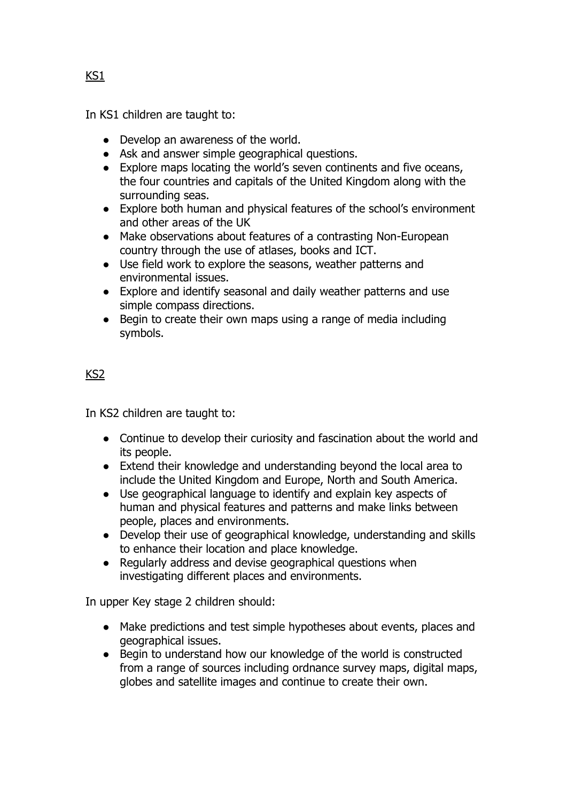In KS1 children are taught to:

- Develop an awareness of the world.
- Ask and answer simple geographical questions.
- Explore maps locating the world's seven continents and five oceans, the four countries and capitals of the United Kingdom along with the surrounding seas.
- Explore both human and physical features of the school's environment and other areas of the UK
- Make observations about features of a contrasting Non-European country through the use of atlases, books and ICT.
- Use field work to explore the seasons, weather patterns and environmental issues.
- Explore and identify seasonal and daily weather patterns and use simple compass directions.
- Begin to create their own maps using a range of media including symbols.

# KS2

In KS2 children are taught to:

- Continue to develop their curiosity and fascination about the world and its people.
- Extend their knowledge and understanding beyond the local area to include the United Kingdom and Europe, North and South America.
- Use geographical language to identify and explain key aspects of human and physical features and patterns and make links between people, places and environments.
- Develop their use of geographical knowledge, understanding and skills to enhance their location and place knowledge.
- Regularly address and devise geographical questions when investigating different places and environments.

In upper Key stage 2 children should:

- Make predictions and test simple hypotheses about events, places and geographical issues.
- Begin to understand how our knowledge of the world is constructed from a range of sources including ordnance survey maps, digital maps, globes and satellite images and continue to create their own.

KS1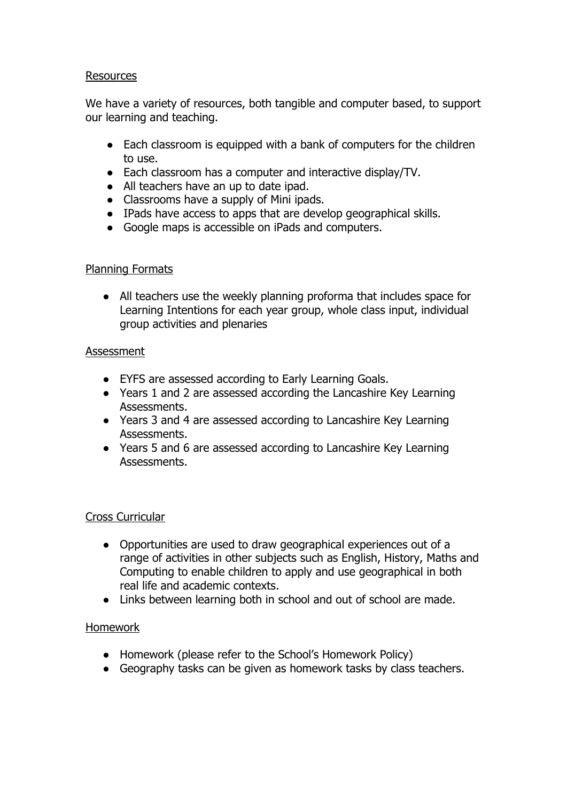#### Resources

We have a variety of resources, both tangible and computer based, to support our learning and teaching.

- Each classroom is equipped with a bank of computers for the children to use.
- Each classroom has a computer and interactive display/TV.
- All teachers have an up to date ipad.
- Classrooms have a supply of Mini ipads.
- IPads have access to apps that are develop geographical skills.
- Google maps is accessible on iPads and computers.

#### Planning Formats

● All teachers use the weekly planning proforma that includes space for Learning Intentions for each year group, whole class input, individual group activities and plenaries

#### **Assessment**

- EYFS are assessed according to Early Learning Goals.
- Years 1 and 2 are assessed according the Lancashire Key Learning Assessments.
- Years 3 and 4 are assessed according to Lancashire Key Learning Assessments.
- Years 5 and 6 are assessed according to Lancashire Key Learning Assessments.

## Cross Curricular

- Opportunities are used to draw geographical experiences out of a range of activities in other subjects such as English, History, Maths and Computing to enable children to apply and use geographical in both real life and academic contexts.
- Links between learning both in school and out of school are made.

## Homework

- Homework (please refer to the School's Homework Policy)
- Geography tasks can be given as homework tasks by class teachers.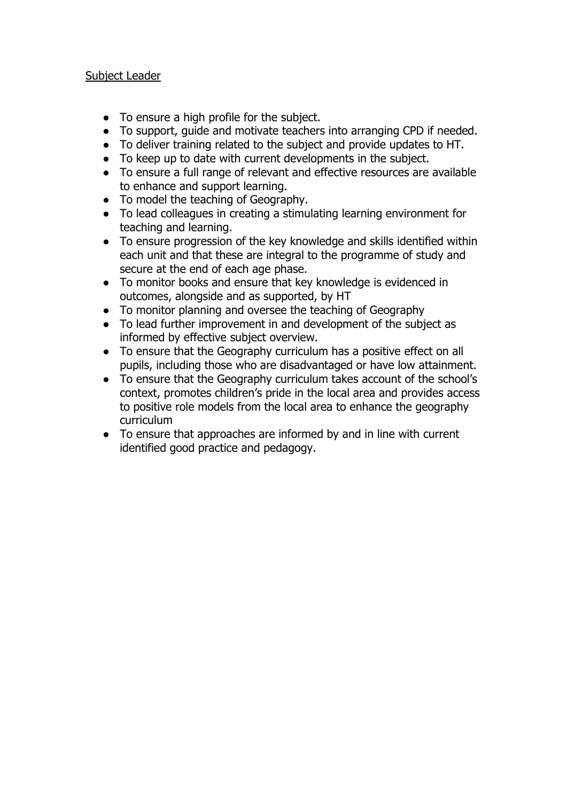#### Subject Leader

- To ensure a high profile for the subject.
- To support, guide and motivate teachers into arranging CPD if needed.
- To deliver training related to the subject and provide updates to HT.
- To keep up to date with current developments in the subject.
- To ensure a full range of relevant and effective resources are available to enhance and support learning.
- To model the teaching of Geography.
- To lead colleagues in creating a stimulating learning environment for teaching and learning.
- To ensure progression of the key knowledge and skills identified within each unit and that these are integral to the programme of study and secure at the end of each age phase.
- To monitor books and ensure that key knowledge is evidenced in outcomes, alongside and as supported, by HT
- To monitor planning and oversee the teaching of Geography
- To lead further improvement in and development of the subject as informed by effective subject overview.
- To ensure that the Geography curriculum has a positive effect on all pupils, including those who are disadvantaged or have low attainment.
- To ensure that the Geography curriculum takes account of the school's context, promotes children's pride in the local area and provides access to positive role models from the local area to enhance the geography curriculum
- To ensure that approaches are informed by and in line with current identified good practice and pedagogy.